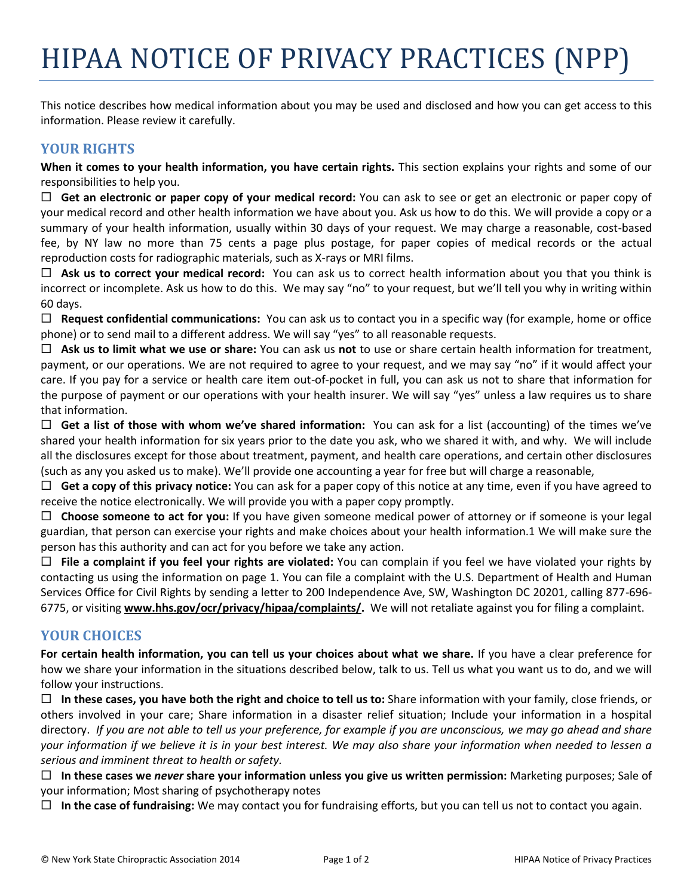# HIPAA NOTICE OF PRIVACY PRACTICES (NPP)

This notice describes how medical information about you may be used and disclosed and how you can get access to this information. Please review it carefully.

## **YOUR RIGHTS**

**When it comes to your health information, you have certain rights.** This section explains your rights and some of our responsibilities to help you.

 **Get an electronic or paper copy of your medical record:** You can ask to see or get an electronic or paper copy of your medical record and other health information we have about you. Ask us how to do this. We will provide a copy or a summary of your health information, usually within 30 days of your request. We may charge a reasonable, cost-based fee, by NY law no more than 75 cents a page plus postage, for paper copies of medical records or the actual reproduction costs for radiographic materials, such as X-rays or MRI films.

 **Ask us to correct your medical record:** You can ask us to correct health information about you that you think is incorrect or incomplete. Ask us how to do this. We may say "no" to your request, but we'll tell you why in writing within 60 days.

 **Request confidential communications:** You can ask us to contact you in a specific way (for example, home or office phone) or to send mail to a different address. We will say "yes" to all reasonable requests.

 **Ask us to limit what we use or share:** You can ask us **not** to use or share certain health information for treatment, payment, or our operations. We are not required to agree to your request, and we may say "no" if it would affect your care. If you pay for a service or health care item out-of-pocket in full, you can ask us not to share that information for the purpose of payment or our operations with your health insurer. We will say "yes" unless a law requires us to share that information.

 **Get a list of those with whom we've shared information:** You can ask for a list (accounting) of the times we've shared your health information for six years prior to the date you ask, who we shared it with, and why. We will include all the disclosures except for those about treatment, payment, and health care operations, and certain other disclosures (such as any you asked us to make). We'll provide one accounting a year for free but will charge a reasonable,

 **Get a copy of this privacy notice:** You can ask for a paper copy of this notice at any time, even if you have agreed to receive the notice electronically. We will provide you with a paper copy promptly.

 **Choose someone to act for you:** If you have given someone medical power of attorney or if someone is your legal guardian, that person can exercise your rights and make choices about your health information.1 We will make sure the person has this authority and can act for you before we take any action.

 **File a complaint if you feel your rights are violated:** You can complain if you feel we have violated your rights by contacting us using the information on page 1. You can file a complaint with the U.S. Department of Health and Human Services Office for Civil Rights by sending a letter to 200 Independence Ave, SW, Washington DC 20201, calling 877-696- 6775, or visiting **[www.hhs.gov/ocr/privacy/hipaa/complaints/.](http://www.hhs.gov/ocr/privacy/hipaa/complaints/)** We will not retaliate against you for filing a complaint.

## **YOUR CHOICES**

**For certain health information, you can tell us your choices about what we share.** If you have a clear preference for how we share your information in the situations described below, talk to us. Tell us what you want us to do, and we will follow your instructions.

 **In these cases, you have both the right and choice to tell us to:** Share information with your family, close friends, or others involved in your care; Share information in a disaster relief situation; Include your information in a hospital directory. *If you are not able to tell us your preference, for example if you are unconscious, we may go ahead and share your information if we believe it is in your best interest. We may also share your information when needed to lessen a serious and imminent threat to health or safety.*

 **In these cases we** *never* **share your information unless you give us written permission:** Marketing purposes; Sale of your information; Most sharing of psychotherapy notes

**In the case of fundraising:** We may contact you for fundraising efforts, but you can tell us not to contact you again.